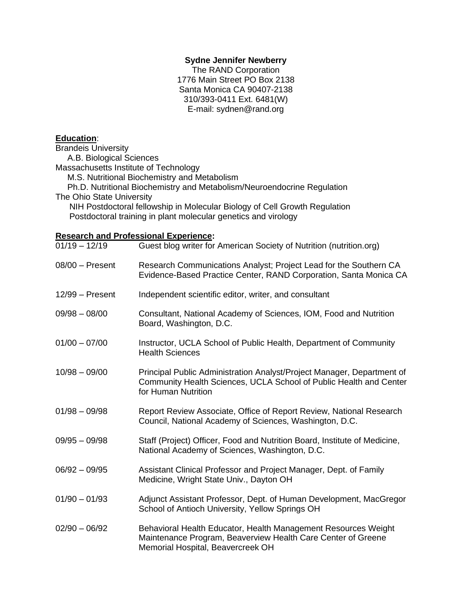# **Sydne Jennifer Newberry**

The RAND Corporation 1776 Main Street PO Box 2138 Santa Monica CA 90407-2138 310/393-0411 Ext. 6481(W) E-mail: sydnen@rand.org

## **Education**:

| <b>Brandeis University</b>                                                 |  |
|----------------------------------------------------------------------------|--|
| A.B. Biological Sciences                                                   |  |
| Massachusetts Institute of Technology                                      |  |
| M.S. Nutritional Biochemistry and Metabolism                               |  |
| Ph.D. Nutritional Biochemistry and Metabolism/Neuroendocrine Regulation    |  |
| The Ohio State University                                                  |  |
| NIH Postdoctoral fellowship in Molecular Biology of Cell Growth Regulation |  |
| Postdoctoral training in plant molecular genetics and virology             |  |
|                                                                            |  |

## **Research and Professional Experience:**

| $01/19 - 12/19$   | Guest blog writer for American Society of Nutrition (nutrition.org)                                                                                                 |
|-------------------|---------------------------------------------------------------------------------------------------------------------------------------------------------------------|
| $08/00 -$ Present | Research Communications Analyst; Project Lead for the Southern CA<br>Evidence-Based Practice Center, RAND Corporation, Santa Monica CA                              |
| $12/99 -$ Present | Independent scientific editor, writer, and consultant                                                                                                               |
| $09/98 - 08/00$   | Consultant, National Academy of Sciences, IOM, Food and Nutrition<br>Board, Washington, D.C.                                                                        |
| $01/00 - 07/00$   | Instructor, UCLA School of Public Health, Department of Community<br><b>Health Sciences</b>                                                                         |
| $10/98 - 09/00$   | Principal Public Administration Analyst/Project Manager, Department of<br>Community Health Sciences, UCLA School of Public Health and Center<br>for Human Nutrition |
| $01/98 - 09/98$   | Report Review Associate, Office of Report Review, National Research<br>Council, National Academy of Sciences, Washington, D.C.                                      |
| $09/95 - 09/98$   | Staff (Project) Officer, Food and Nutrition Board, Institute of Medicine,<br>National Academy of Sciences, Washington, D.C.                                         |
| $06/92 - 09/95$   | Assistant Clinical Professor and Project Manager, Dept. of Family<br>Medicine, Wright State Univ., Dayton OH                                                        |
| $01/90 - 01/93$   | Adjunct Assistant Professor, Dept. of Human Development, MacGregor<br>School of Antioch University, Yellow Springs OH                                               |
| $02/90 - 06/92$   | Behavioral Health Educator, Health Management Resources Weight<br>Maintenance Program, Beaverview Health Care Center of Greene<br>Memorial Hospital, Beavercreek OH |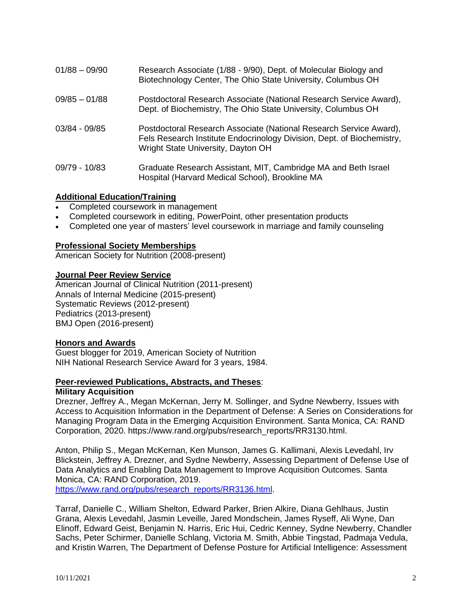| $01/88 - 09/90$ | Research Associate (1/88 - 9/90), Dept. of Molecular Biology and<br>Biotechnology Center, The Ohio State University, Columbus OH                                                   |
|-----------------|------------------------------------------------------------------------------------------------------------------------------------------------------------------------------------|
| $09/85 - 01/88$ | Postdoctoral Research Associate (National Research Service Award),<br>Dept. of Biochemistry, The Ohio State University, Columbus OH                                                |
| 03/84 - 09/85   | Postdoctoral Research Associate (National Research Service Award),<br>Fels Research Institute Endocrinology Division, Dept. of Biochemistry,<br>Wright State University, Dayton OH |
| 09/79 - 10/83   | Graduate Research Assistant, MIT, Cambridge MA and Beth Israel<br>Hospital (Harvard Medical School), Brookline MA                                                                  |

## **Additional Education/Training**

- Completed coursework in management
- Completed coursework in editing, PowerPoint, other presentation products
- Completed one year of masters' level coursework in marriage and family counseling

## **Professional Society Memberships**

American Society for Nutrition (2008-present)

#### **Journal Peer Review Service**

American Journal of Clinical Nutrition (2011-present) Annals of Internal Medicine (2015-present) Systematic Reviews (2012-present) Pediatrics (2013-present) BMJ Open (2016-present)

#### **Honors and Awards**

Guest blogger for 2019, American Society of Nutrition NIH National Research Service Award for 3 years, 1984.

#### **Peer-reviewed Publications, Abstracts, and Theses**:

#### **Military Acquisition**

Drezner, Jeffrey A., Megan McKernan, Jerry M. Sollinger, and Sydne Newberry, Issues with Access to Acquisition Information in the Department of Defense: A Series on Considerations for Managing Program Data in the Emerging Acquisition Environment. Santa Monica, CA: RAND Corporation, 2020. https://www.rand.org/pubs/research\_reports/RR3130.html.

Anton, Philip S., Megan McKernan, Ken Munson, James G. Kallimani, Alexis Levedahl, Irv Blickstein, Jeffrey A. Drezner, and Sydne Newberry, Assessing Department of Defense Use of Data Analytics and Enabling Data Management to Improve Acquisition Outcomes. Santa Monica, CA: RAND Corporation, 2019. [https://www.rand.org/pubs/research\\_reports/RR3136.html.](https://www.rand.org/pubs/research_reports/RR3136.html)

Tarraf, Danielle C., William Shelton, Edward Parker, Brien Alkire, Diana Gehlhaus, Justin Grana, Alexis Levedahl, Jasmin Leveille, Jared Mondschein, James Ryseff, Ali Wyne, Dan Elinoff, Edward Geist, Benjamin N. Harris, Eric Hui, Cedric Kenney, Sydne Newberry, Chandler Sachs, Peter Schirmer, Danielle Schlang, Victoria M. Smith, Abbie Tingstad, Padmaja Vedula, and Kristin Warren, The Department of Defense Posture for Artificial Intelligence: Assessment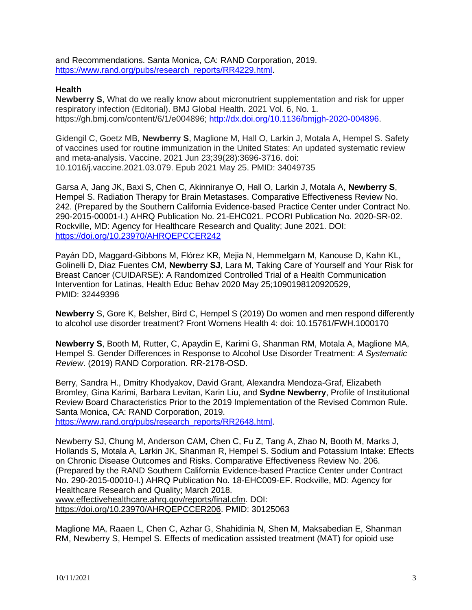and Recommendations. Santa Monica, CA: RAND Corporation, 2019. [https://www.rand.org/pubs/research\\_reports/RR4229.html.](https://www.rand.org/pubs/research_reports/RR4229.html)

## **Health**

**Newberry S**, What do we really know about micronutrient supplementation and risk for upper respiratory infection (Editorial). BMJ Global Health. 2021 Vol. 6, No. 1. https://gh.bmj.com/content/6/1/e004896; [http://dx.doi.org/10.1136/bmjgh-2020-004896.](http://dx.doi.org/10.1136/bmjgh-2020-004896)

Gidengil C, Goetz MB, **Newberry S**, Maglione M, Hall O, Larkin J, Motala A, Hempel S. Safety of vaccines used for routine immunization in the United States: An updated systematic review and meta-analysis. Vaccine. 2021 Jun 23;39(28):3696-3716. doi: 10.1016/j.vaccine.2021.03.079. Epub 2021 May 25. PMID: 34049735

Garsa A, Jang JK, Baxi S, Chen C, Akinniranye O, Hall O, Larkin J, Motala A, **Newberry S**, Hempel S. Radiation Therapy for Brain Metastases. Comparative Effectiveness Review No. 242. (Prepared by the Southern California Evidence-based Practice Center under Contract No. 290-2015-00001-I.) AHRQ Publication No. 21-EHC021. PCORI Publication No. 2020-SR-02. Rockville, MD: Agency for Healthcare Research and Quality; June 2021. DOI: <https://doi.org/10.23970/AHRQEPCCER242>

Payán DD, Maggard-Gibbons M, Flórez KR, Mejia N, Hemmelgarn M, Kanouse D, Kahn KL, Golinelli D, Diaz Fuentes CM, **Newberry SJ**, Lara M, Taking Care of Yourself and Your Risk for Breast Cancer (CUIDARSE): A Randomized Controlled Trial of a Health Communication Intervention for Latinas, Health Educ Behav 2020 May 25;1090198120920529, PMID: 32449396

**Newberry** S, Gore K, Belsher, Bird C, Hempel S (2019) Do women and men respond differently to alcohol use disorder treatment? Front Womens Health 4: doi: 10.15761/FWH.1000170

**Newberry S**, Booth M, Rutter, C, Apaydin E, Karimi G, Shanman RM, Motala A, Maglione MA, Hempel S. Gender Differences in Response to Alcohol Use Disorder Treatment: *A Systematic Review*. (2019) RAND Corporation. RR-2178-OSD.

Berry, Sandra H., Dmitry Khodyakov, David Grant, Alexandra Mendoza-Graf, Elizabeth Bromley, Gina Karimi, Barbara Levitan, Karin Liu, and **Sydne Newberry**, Profile of Institutional Review Board Characteristics Prior to the 2019 Implementation of the Revised Common Rule. Santa Monica, CA: RAND Corporation, 2019.

[https://www.rand.org/pubs/research\\_reports/RR2648.html.](https://www.rand.org/pubs/research_reports/RR2648.html)

Newberry SJ, Chung M, Anderson CAM, Chen C, Fu Z, Tang A, Zhao N, Booth M, Marks J, Hollands S, Motala A, Larkin JK, Shanman R, Hempel S. Sodium and Potassium Intake: Effects on Chronic Disease Outcomes and Risks. Comparative Effectiveness Review No. 206. (Prepared by the RAND Southern California Evidence-based Practice Center under Contract No. 290-2015-00010-I.) AHRQ Publication No. 18-EHC009-EF. Rockville, MD: Agency for Healthcare Research and Quality; March 2018.

[www.effectivehealthcare.ahrq.gov/reports/final.cfm.](http://www.effectivehealthcare.ahrq.gov/reports/final.cfm) DOI: [https://doi.org/10.23970/AHRQEPCCER206.](https://doi.org/10.23970/AHRQEPCCER206) PMID: 30125063

Maglione MA, Raaen L, Chen C, Azhar G, Shahidinia N, Shen M, Maksabedian E, Shanman RM, Newberry S, Hempel S. Effects of medication assisted treatment (MAT) for opioid use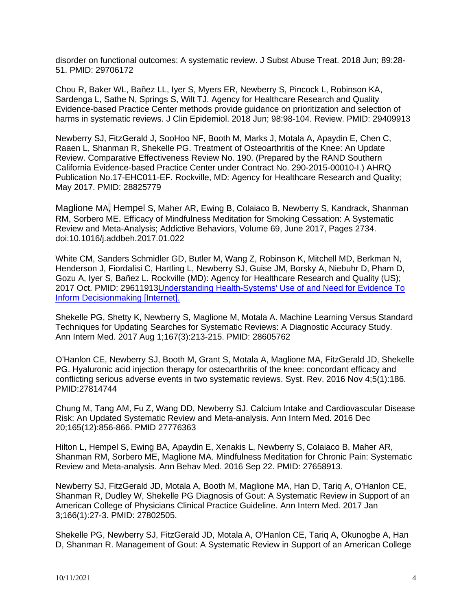disorder on functional outcomes: A systematic review. J Subst Abuse Treat. 2018 Jun; 89:28- 51. PMID: 29706172

Chou R, Baker WL, Bañez LL, Iyer S, Myers ER, Newberry S, Pincock L, Robinson KA, Sardenga L, Sathe N, Springs S, Wilt TJ. Agency for Healthcare Research and Quality Evidence-based Practice Center methods provide guidance on prioritization and selection of harms in systematic reviews. J Clin Epidemiol. 2018 Jun; 98:98-104. Review. PMID: 29409913

Newberry SJ, FitzGerald J, SooHoo NF, Booth M, Marks J, Motala A, Apaydin E, Chen C, Raaen L, Shanman R, Shekelle PG. Treatment of Osteoarthritis of the Knee: An Update Review. Comparative Effectiveness Review No. 190. (Prepared by the RAND Southern California Evidence-based Practice Center under Contract No. 290-2015-00010-I.) AHRQ Publication No.17-EHC011-EF. Rockville, MD: Agency for Healthcare Research and Quality; May 2017. PMID: 28825779

Maglione MA, Hempel S, Maher AR, Ewing B, Colaiaco B, Newberry S, Kandrack, Shanman RM, Sorbero ME. Efficacy of Mindfulness Meditation for Smoking Cessation: A Systematic Review and Meta-Analysis; Addictive Behaviors, Volume 69, June 2017, Pages 2734. doi:10.1016/j.addbeh.2017.01.022

White CM, Sanders Schmidler GD, Butler M, Wang Z, Robinson K, Mitchell MD, Berkman N, Henderson J, Fiordalisi C, Hartling L, Newberry SJ, Guise JM, Borsky A, Niebuhr D, Pham D, Gozu A, Iyer S, Bañez L. Rockville (MD): Agency for Healthcare Research and Quality (US); 2017 Oct. PMID: 29611913Understanding Health-Systems' Use of and Need for Evidence To [Inform Decisionmaking \[Internet\].](https://www.ncbi.nlm.nih.gov/pubmed/29611913)

Shekelle PG, Shetty K, Newberry S, Maglione M, Motala A. Machine Learning Versus Standard Techniques for Updating Searches for Systematic Reviews: A Diagnostic Accuracy Study. Ann Intern Med. 2017 Aug 1;167(3):213-215. PMID: 28605762

O'Hanlon CE, Newberry SJ, Booth M, Grant S, Motala A, Maglione MA, FitzGerald JD, Shekelle PG. Hyaluronic acid injection therapy for osteoarthritis of the knee: concordant efficacy and conflicting serious adverse events in two systematic reviews. Syst. Rev. 2016 Nov 4;5(1):186. PMID:27814744

Chung M, Tang AM, Fu Z, Wang DD, Newberry SJ. Calcium Intake and Cardiovascular Disease Risk: An Updated Systematic Review and Meta-analysis. Ann Intern Med. 2016 Dec 20;165(12):856-866. PMID 27776363

Hilton L, Hempel S, Ewing BA, Apaydin E, Xenakis L, Newberry S, Colaiaco B, Maher AR, Shanman RM, Sorbero ME, Maglione MA. Mindfulness Meditation for Chronic Pain: Systematic Review and Meta-analysis. Ann Behav Med. 2016 Sep 22. PMID: 27658913.

Newberry SJ, FitzGerald JD, Motala A, Booth M, Maglione MA, Han D, Tariq A, O'Hanlon CE, Shanman R, Dudley W, Shekelle PG Diagnosis of Gout: A Systematic Review in Support of an American College of Physicians Clinical Practice Guideline. Ann Intern Med. 2017 Jan 3;166(1):27-3. PMID: 27802505.

Shekelle PG, Newberry SJ, FitzGerald JD, Motala A, O'Hanlon CE, Tariq A, Okunogbe A, Han D, Shanman R. Management of Gout: A Systematic Review in Support of an American College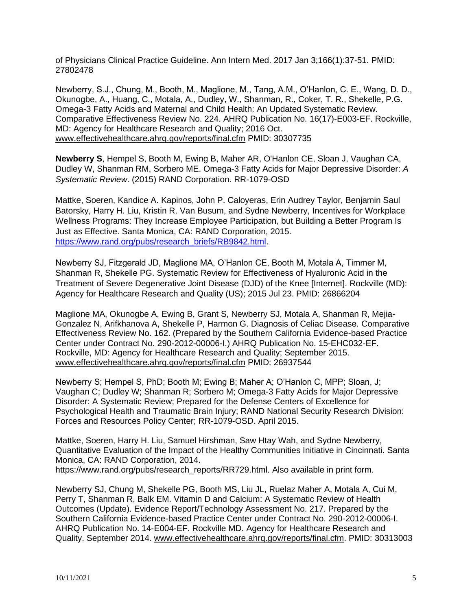of Physicians Clinical Practice Guideline. Ann Intern Med. 2017 Jan 3;166(1):37-51. PMID: 27802478

Newberry, S.J., Chung, M., Booth, M., Maglione, M., Tang, A.M., O'Hanlon, C. E., Wang, D. D., Okunogbe, A., Huang, C., Motala, A., Dudley, W., Shanman, R., Coker, T. R., Shekelle, P.G. Omega-3 Fatty Acids and Maternal and Child Health: An Updated Systematic Review. Comparative Effectiveness Review No. 224. AHRQ Publication No. 16(17)-E003-EF. Rockville, MD: Agency for Healthcare Research and Quality; 2016 Oct. [www.effectivehealthcare.ahrq.gov/reports/final.cfm](http://www.effectivehealthcare.ahrq.gov/reports/final.cfm) PMID: 30307735

**Newberry S**, Hempel S, Booth M, Ewing B, Maher AR, O'Hanlon CE, Sloan J, Vaughan CA, Dudley W, Shanman RM, Sorbero ME. Omega-3 Fatty Acids for Major Depressive Disorder: *A Systematic Review*. (2015) RAND Corporation. RR-1079-OSD

Mattke, Soeren, Kandice A. Kapinos, John P. Caloyeras, Erin Audrey Taylor, Benjamin Saul Batorsky, Harry H. Liu, Kristin R. Van Busum, and Sydne Newberry, Incentives for Workplace Wellness Programs: They Increase Employee Participation, but Building a Better Program Is Just as Effective. Santa Monica, CA: RAND Corporation, 2015. [https://www.rand.org/pubs/research\\_briefs/RB9842.html.](https://www.rand.org/pubs/research_briefs/RB9842.html)

Newberry SJ, Fitzgerald JD, Maglione MA, O'Hanlon CE, Booth M, Motala A, Timmer M, Shanman R, Shekelle PG. [Systematic Review for Effectiveness of Hyaluronic Acid in the](http://www.ncbi.nlm.nih.gov/pubmed/26866204)  [Treatment of Severe Degenerative Joint Disease \(DJD\) of the Knee \[Internet\].](http://www.ncbi.nlm.nih.gov/pubmed/26866204) Rockville (MD): Agency for Healthcare Research and Quality (US); 2015 Jul 23. PMID: 26866204

Maglione MA, Okunogbe A, Ewing B, Grant S, Newberry SJ, Motala A, Shanman R, Mejia-Gonzalez N, Arifkhanova A, Shekelle P, Harmon G. Diagnosis of Celiac Disease. Comparative Effectiveness Review No. 162. (Prepared by the Southern California Evidence-based Practice Center under Contract No. 290-2012-00006-I.) AHRQ Publication No. 15-EHC032-EF. Rockville, MD: Agency for Healthcare Research and Quality; September 2015. [www.effectivehealthcare.ahrq.gov/reports/final.cfm](http://www.effectivehealthcare.ahrq.gov/reports/final.cfm) PMID: 26937544

Newberry S; Hempel S, PhD; Booth M; Ewing B; Maher A; O'Hanlon C, MPP; Sloan, J; Vaughan C; Dudley W; Shanman R; Sorbero M; Omega-3 Fatty Acids for Major Depressive Disorder: A Systematic Review; Prepared for the Defense Centers of Excellence for Psychological Health and Traumatic Brain Injury; RAND National Security Research Division: Forces and Resources Policy Center; RR-1079-OSD. April 2015.

Mattke, Soeren, Harry H. Liu, Samuel Hirshman, Saw Htay Wah, and Sydne Newberry, Quantitative Evaluation of the Impact of the Healthy Communities Initiative in Cincinnati. Santa Monica, CA: RAND Corporation, 2014. https://www.rand.org/pubs/research\_reports/RR729.html. Also available in print form.

Newberry SJ, Chung M, Shekelle PG, Booth MS, Liu JL, Ruelaz Maher A, Motala A, Cui M, Perry T, Shanman R, Balk EM. Vitamin D and Calcium: A Systematic Review of Health Outcomes (Update). Evidence Report/Technology Assessment No. 217. Prepared by the Southern California Evidence-based Practice Center under Contract No. 290-2012-00006-I. AHRQ Publication No. 14-E004-EF. Rockville MD. Agency for Healthcare Research and Quality. September 2014. [www.effectivehealthcare.ahrq.gov/reports/final.cfm.](http://www.effectivehealthcare.ahrq.gov/reports/final.cfm) PMID: 30313003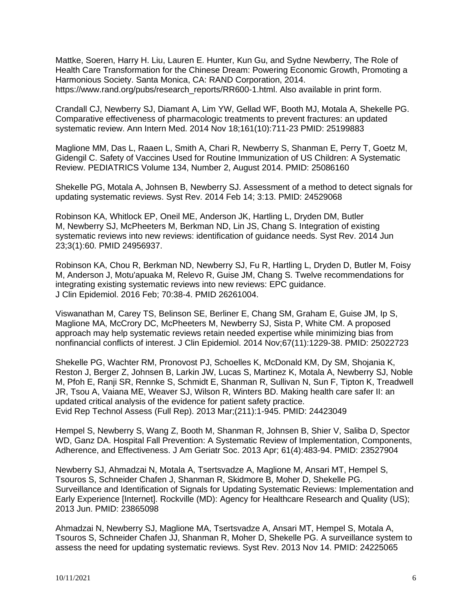Mattke, Soeren, Harry H. Liu, Lauren E. Hunter, Kun Gu, and Sydne Newberry, The Role of Health Care Transformation for the Chinese Dream: Powering Economic Growth, Promoting a Harmonious Society. Santa Monica, CA: RAND Corporation, 2014. https://www.rand.org/pubs/research\_reports/RR600-1.html. Also available in print form.

Crandall CJ, Newberry SJ, Diamant A, Lim YW, Gellad WF, Booth MJ, Motala A, Shekelle PG. Comparative effectiveness of pharmacologic treatments to prevent fractures: an updated systematic review. Ann Intern Med. 2014 Nov 18;161(10):711-23 PMID: 25199883

Maglione MM, Das L, Raaen L, Smith A, Chari R, Newberry S, Shanman E, Perry T, Goetz M, Gidengil C. Safety of Vaccines Used for Routine Immunization of US Children: A Systematic Review. PEDIATRICS Volume 134, Number 2, August 2014. PMID: 25086160

Shekelle PG, Motala A, Johnsen B, Newberry SJ. Assessment of a method to detect signals for updating systematic reviews. Syst Rev. 2014 Feb 14; 3:13. PMID: 24529068

Robinson KA, Whitlock EP, Oneil ME, Anderson JK, Hartling L, Dryden DM, Butler M, Newberry SJ, McPheeters M, Berkman ND, Lin JS, Chang S. Integration of existing systematic reviews into new reviews: identification of guidance needs. Syst Rev. 2014 Jun 23;3(1):60. PMID 24956937.

Robinson KA, Chou R, Berkman ND, Newberry SJ, Fu R, Hartling L, Dryden D, Butler M, Foisy M, Anderson J, Motu'apuaka M, Relevo R, Guise JM, Chang S. Twelve recommendations for integrating existing systematic reviews into new reviews: EPC guidance. J Clin Epidemiol. 2016 Feb; 70:38-4. PMID 26261004.

Viswanathan M, Carey TS, Belinson SE, Berliner E, Chang SM, Graham E, Guise JM, Ip S, Maglione MA, McCrory DC, McPheeters M, Newberry SJ, Sista P, White CM. A proposed approach may help systematic reviews retain needed expertise while minimizing bias from nonfinancial conflicts of interest. J Clin Epidemiol. 2014 Nov;67(11):1229-38. PMID: 25022723

Shekelle PG, Wachter RM, Pronovost PJ, Schoelles K, McDonald KM, Dy SM, Shojania K, Reston J, Berger Z, Johnsen B, Larkin JW, Lucas S, Martinez K, Motala A, Newberry SJ, Noble M, Pfoh E, Ranji SR, Rennke S, Schmidt E, Shanman R, Sullivan N, Sun F, Tipton K, Treadwell JR, Tsou A, Vaiana ME, Weaver SJ, Wilson R, Winters BD. Making health care safer II: an updated critical analysis of the evidence for patient safety practice. Evid Rep Technol Assess (Full Rep). 2013 Mar;(211):1-945. PMID: 24423049

Hempel S, Newberry S, Wang Z, Booth M, Shanman R, Johnsen B, Shier V, Saliba D, Spector WD, Ganz DA. Hospital Fall Prevention: A Systematic Review of Implementation, Components, Adherence, and Effectiveness. J Am Geriatr Soc. 2013 Apr; 61(4):483-94. PMID: 23527904

Newberry SJ, Ahmadzai N, Motala A, Tsertsvadze A, Maglione M, Ansari MT, Hempel S, Tsouros S, Schneider Chafen J, Shanman R, Skidmore B, Moher D, Shekelle PG. Surveillance and Identification of Signals for Updating Systematic Reviews: Implementation and Early Experience [Internet]. Rockville (MD): Agency for Healthcare Research and Quality (US); 2013 Jun. PMID: 23865098

Ahmadzai N, Newberry SJ, Maglione MA, Tsertsvadze A, Ansari MT, Hempel S, Motala A, Tsouros S, Schneider Chafen JJ, Shanman R, Moher D, Shekelle PG. [A surveillance system to](https://www.ncbi.nlm.nih.gov/pubmed/24225065)  [assess the need for updating systematic reviews.](https://www.ncbi.nlm.nih.gov/pubmed/24225065) Syst Rev. 2013 Nov 14. PMID: 24225065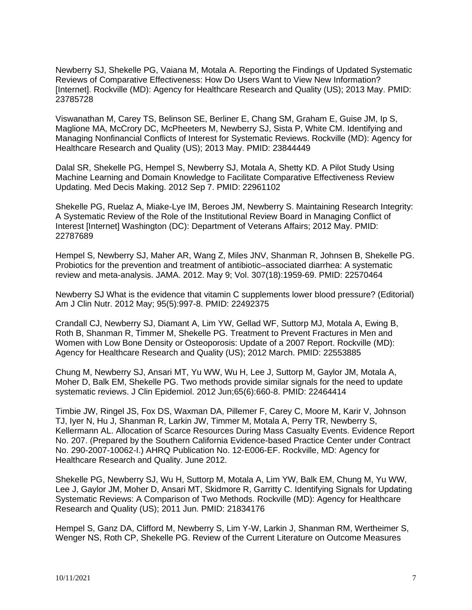Newberry SJ, Shekelle PG, Vaiana M, Motala A. Reporting the Findings of Updated Systematic Reviews of Comparative Effectiveness: How Do Users Want to View New Information? [Internet]. Rockville (MD): Agency for Healthcare Research and Quality (US); 2013 May. PMID: 23785728

Viswanathan M, Carey TS, Belinson SE, Berliner E, Chang SM, Graham E, Guise JM, Ip S, Maglione MA, McCrory DC, McPheeters M, Newberry SJ, Sista P, White CM. Identifying and Managing Nonfinancial Conflicts of Interest for Systematic Reviews. Rockville (MD): Agency for Healthcare Research and Quality (US); 2013 May. PMID: 23844449

Dalal SR, Shekelle PG, Hempel S, Newberry SJ, Motala A, Shetty KD. A Pilot Study Using Machine Learning and Domain Knowledge to Facilitate Comparative Effectiveness Review Updating. Med Decis Making. 2012 Sep 7. PMID: 22961102

Shekelle PG, Ruelaz A, Miake-Lye IM, Beroes JM, Newberry S. Maintaining Research Integrity: A Systematic Review of the Role of the Institutional Review Board in Managing Conflict of Interest [Internet] Washington (DC): Department of Veterans Affairs; 2012 May. PMID: 22787689

Hempel S, Newberry SJ, Maher AR, Wang Z, Miles JNV, Shanman R, Johnsen B, Shekelle PG. Probiotics for the prevention and treatment of antibiotic–associated diarrhea: A systematic review and meta-analysis. JAMA. 2012. May 9; Vol. 307(18):1959-69. PMID: 22570464

Newberry SJ What is the evidence that vitamin C supplements lower blood pressure? (Editorial) Am J Clin Nutr. 2012 May; 95(5):997-8. PMID: 22492375

Crandall CJ, Newberry SJ, Diamant A, Lim YW, Gellad WF, Suttorp MJ, Motala A, Ewing B, Roth B, Shanman R, Timmer M, Shekelle PG. Treatment to Prevent Fractures in Men and Women with Low Bone Density or Osteoporosis: Update of a 2007 Report. Rockville (MD): Agency for Healthcare Research and Quality (US); 2012 March. PMID: 22553885

Chung M, Newberry SJ, Ansari MT, Yu WW, Wu H, Lee J, Suttorp M, Gaylor JM, Motala A, Moher D, Balk EM, Shekelle PG. Two methods provide similar signals for the need to update systematic reviews. J Clin Epidemiol. 2012 Jun;65(6):660-8. PMID: 22464414

Timbie JW, Ringel JS, Fox DS, Waxman DA, Pillemer F, Carey C, Moore M, Karir V, Johnson TJ, Iyer N, Hu J, Shanman R, Larkin JW, Timmer M, Motala A, Perry TR, Newberry S, Kellermann AL. Allocation of Scarce Resources During Mass Casualty Events. Evidence Report No. 207. (Prepared by the Southern California Evidence-based Practice Center under Contract No. 290-2007-10062-I.) AHRQ Publication No. 12-E006-EF. Rockville, MD: Agency for Healthcare Research and Quality. June 2012.

Shekelle PG, Newberry SJ, Wu H, Suttorp M, Motala A, Lim YW, Balk EM, Chung M, Yu WW, Lee J, Gaylor JM, Moher D, Ansari MT, Skidmore R, Garritty C. Identifying Signals for Updating Systematic Reviews: A Comparison of Two Methods. Rockville (MD): Agency for Healthcare Research and Quality (US); 2011 Jun. PMID: 21834176

Hempel S, Ganz DA, Clifford M, Newberry S, Lim Y-W, Larkin J, Shanman RM, Wertheimer S, Wenger NS, Roth CP, Shekelle PG. Review of the Current Literature on Outcome Measures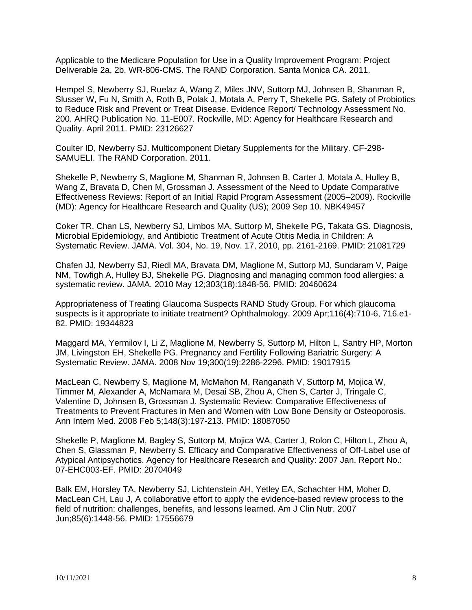Applicable to the Medicare Population for Use in a Quality Improvement Program: Project Deliverable 2a, 2b. WR-806-CMS. The RAND Corporation. Santa Monica CA. 2011.

Hempel S, Newberry SJ, Ruelaz A, Wang Z, Miles JNV, Suttorp MJ, Johnsen B, Shanman R, Slusser W, Fu N, Smith A, Roth B, Polak J, Motala A, Perry T, Shekelle PG. Safety of Probiotics to Reduce Risk and Prevent or Treat Disease. Evidence Report/ Technology Assessment No. 200. AHRQ Publication No. 11-E007. Rockville, MD: Agency for Healthcare Research and Quality. April 2011. PMID: 23126627

Coulter ID, Newberry SJ. Multicomponent Dietary Supplements for the Military. CF-298- SAMUELI. The RAND Corporation. 2011.

Shekelle P, Newberry S, Maglione M, Shanman R, Johnsen B, Carter J, Motala A, Hulley B, Wang Z, Bravata D, Chen M, Grossman J. Assessment of the Need to Update Comparative Effectiveness Reviews: Report of an Initial Rapid Program Assessment (2005–2009). Rockville (MD): Agency for Healthcare Research and Quality (US); 2009 Sep 10. NBK49457

Coker TR, Chan LS, Newberry SJ, Limbos MA, Suttorp M, Shekelle PG, Takata GS. Diagnosis, Microbial Epidemiology, and Antibiotic Treatment of Acute Otitis Media in Children: A Systematic Review. JAMA. Vol. 304, No. 19, Nov. 17, 2010, pp. 2161-2169. PMID: 21081729

Chafen JJ, Newberry SJ, Riedl MA, Bravata DM, Maglione M, Suttorp MJ, Sundaram V, Paige NM, Towfigh A, Hulley BJ, Shekelle PG. Diagnosing and managing common food allergies: a systematic review. JAMA. 2010 May 12;303(18):1848-56. PMID: 20460624

Appropriateness of Treating Glaucoma Suspects RAND Study Group. For which glaucoma suspects is it appropriate to initiate treatment? Ophthalmology. 2009 Apr;116(4):710-6, 716.e1- 82. PMID: 19344823

Maggard MA, Yermilov I, Li Z, Maglione M, Newberry S, Suttorp M, Hilton L, Santry HP, Morton JM, Livingston EH, Shekelle PG. Pregnancy and Fertility Following Bariatric Surgery: A Systematic Review. JAMA. 2008 Nov 19;300(19):2286-2296. PMID: 19017915

MacLean C, Newberry S, Maglione M, McMahon M, Ranganath V, Suttorp M, Mojica W, Timmer M, Alexander A, McNamara M, Desai SB, Zhou A, Chen S, Carter J, Tringale C, Valentine D, Johnsen B, Grossman J. Systematic Review: Comparative Effectiveness of Treatments to Prevent Fractures in Men and Women with Low Bone Density or Osteoporosis. Ann Intern Med. 2008 Feb 5;148(3):197-213. PMID: 18087050

Shekelle P, Maglione M, Bagley S, Suttorp M, Mojica WA, Carter J, Rolon C, Hilton L, Zhou A, Chen S, Glassman P, Newberry S. Efficacy and Comparative Effectiveness of Off-Label use of Atypical Antipsychotics. Agency for Healthcare Research and Quality: 2007 Jan. Report No.: 07-EHC003-EF. PMID: 20704049

Balk EM, Horsley TA, Newberry SJ, Lichtenstein AH, Yetley EA, Schachter HM, Moher D, MacLean CH, Lau J, A collaborative effort to apply the evidence-based review process to the field of nutrition: challenges, benefits, and lessons learned. Am J Clin Nutr. 2007 Jun;85(6):1448-56. PMID: 17556679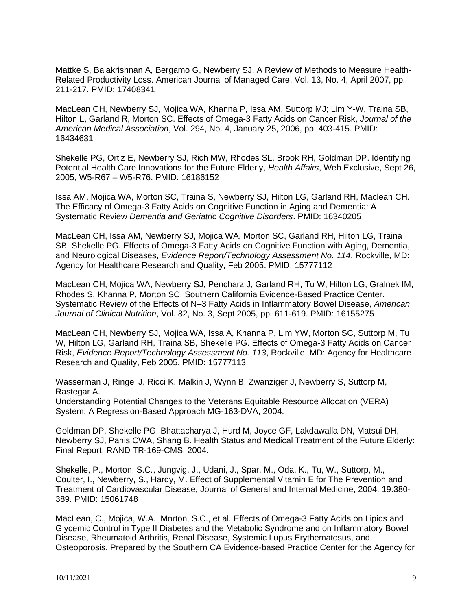Mattke S, Balakrishnan A, Bergamo G, Newberry SJ. A Review of Methods to Measure Health-Related Productivity Loss. American Journal of Managed Care, Vol. 13, No. 4, April 2007, pp. 211-217. PMID: 17408341

MacLean CH, Newberry SJ, Mojica WA, Khanna P, Issa AM, Suttorp MJ; Lim Y-W, Traina SB, Hilton L, Garland R, Morton SC. Effects of Omega-3 Fatty Acids on Cancer Risk, *Journal of the American Medical Association*, Vol. 294, No. 4, January 25, 2006, pp. 403-415. PMID: 16434631

Shekelle PG, Ortiz E, Newberry SJ, Rich MW, Rhodes SL, Brook RH, Goldman DP. Identifying Potential Health Care Innovations for the Future Elderly, *Health Affairs*, Web Exclusive, Sept 26, 2005, W5-R67 – W5-R76. PMID: 16186152

Issa AM, Mojica WA, Morton SC, Traina S, Newberry SJ, Hilton LG, Garland RH, Maclean CH. The Efficacy of Omega-3 Fatty Acids on Cognitive Function in Aging and Dementia: A Systematic Review *Dementia and Geriatric Cognitive Disorders*. PMID: 16340205

MacLean CH, Issa AM, Newberry SJ, Mojica WA, Morton SC, Garland RH, Hilton LG, Traina SB, Shekelle PG. Effects of Omega-3 Fatty Acids on Cognitive Function with Aging, Dementia, and Neurological Diseases, *Evidence Report/Technology Assessment No. 114*, Rockville, MD: Agency for Healthcare Research and Quality, Feb 2005. PMID: 15777112

MacLean CH, Mojica WA, Newberry SJ, Pencharz J, Garland RH, Tu W, Hilton LG, Gralnek IM, Rhodes S, Khanna P, Morton SC, Southern California Evidence-Based Practice Center. Systematic Review of the Effects of N–3 Fatty Acids in Inflammatory Bowel Disease, *American Journal of Clinical Nutrition*, Vol. 82, No. 3, Sept 2005, pp. 611-619. PMID: 16155275

MacLean CH, Newberry SJ, Mojica WA, Issa A, Khanna P, Lim YW, Morton SC, Suttorp M, Tu W, Hilton LG, Garland RH, Traina SB, Shekelle PG. Effects of Omega-3 Fatty Acids on Cancer Risk, *Evidence Report/Technology Assessment No. 113*, Rockville, MD: Agency for Healthcare Research and Quality, Feb 2005. PMID: 15777113

Wasserman J, Ringel J, Ricci K, Malkin J, Wynn B, Zwanziger J, Newberry S, Suttorp M, Rastegar A.

Understanding Potential Changes to the Veterans Equitable Resource Allocation (VERA) System: A Regression-Based Approach MG-163-DVA, 2004.

Goldman DP, Shekelle PG, Bhattacharya J, Hurd M, Joyce GF, Lakdawalla DN, Matsui DH, Newberry SJ, Panis CWA, Shang B. Health Status and Medical Treatment of the Future Elderly: Final Report. RAND TR-169-CMS, 2004.

Shekelle, P., Morton, S.C., Jungvig, J., Udani, J., Spar, M., Oda, K., Tu, W., Suttorp, M., Coulter, I., Newberry, S., Hardy, M. Effect of Supplemental Vitamin E for The Prevention and Treatment of Cardiovascular Disease, Journal of General and Internal Medicine, 2004; 19:380- 389. PMID: 15061748

MacLean, C., Mojica, W.A., Morton, S.C., et al. Effects of Omega-3 Fatty Acids on Lipids and Glycemic Control in Type II Diabetes and the Metabolic Syndrome and on Inflammatory Bowel Disease, Rheumatoid Arthritis, Renal Disease, Systemic Lupus Erythematosus, and Osteoporosis. Prepared by the Southern CA Evidence-based Practice Center for the Agency for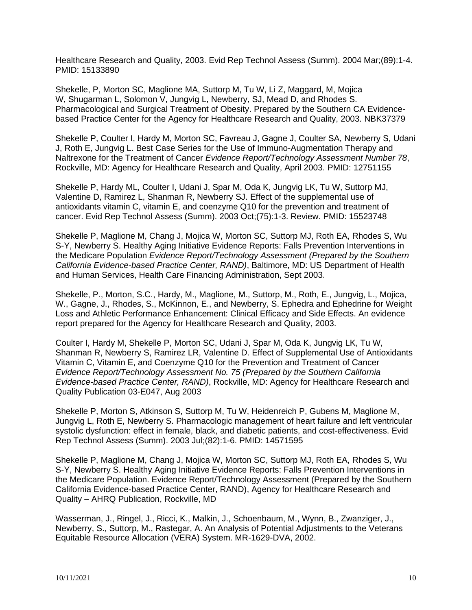Healthcare Research and Quality, 2003. Evid Rep Technol Assess (Summ). 2004 Mar;(89):1-4. PMID: 15133890

Shekelle, P, Morton SC, Maglione MA, Suttorp M, Tu W, Li Z, Maggard, M, Mojica W. Shugarman L, Solomon V, Jungvig L, Newberry, SJ, Mead D, and Rhodes S, Pharmacological and Surgical Treatment of Obesity. Prepared by the Southern CA Evidencebased Practice Center for the Agency for Healthcare Research and Quality, 2003. NBK37379

Shekelle P, Coulter I, Hardy M, Morton SC, Favreau J, Gagne J, Coulter SA, Newberry S, Udani J, Roth E, Jungvig L. Best Case Series for the Use of Immuno-Augmentation Therapy and Naltrexone for the Treatment of Cancer *Evidence Report/Technology Assessment Number 78*, Rockville, MD: Agency for Healthcare Research and Quality, April 2003. PMID: 12751155

Shekelle P, Hardy ML, Coulter I, Udani J, Spar M, Oda K, Jungvig LK, Tu W, Suttorp MJ, Valentine D, Ramirez L, Shanman R, Newberry SJ. [Effect of the supplemental use of](https://www.ncbi.nlm.nih.gov/pubmed/15523748)  [antioxidants vitamin C, vitamin E, and coenzyme Q10 for the prevention and treatment of](https://www.ncbi.nlm.nih.gov/pubmed/15523748)  [cancer.](https://www.ncbi.nlm.nih.gov/pubmed/15523748) Evid Rep Technol Assess (Summ). 2003 Oct;(75):1-3. Review. PMID: 15523748

Shekelle P, Maglione M, Chang J, Mojica W, Morton SC, Suttorp MJ, Roth EA, Rhodes S, Wu S-Y, Newberry S. Healthy Aging Initiative Evidence Reports: Falls Prevention Interventions in the Medicare Population *Evidence Report/Technology Assessment (Prepared by the Southern California Evidence-based Practice Center, RAND)*, Baltimore, MD: US Department of Health and Human Services, Health Care Financing Administration, Sept 2003.

Shekelle, P., Morton, S.C., Hardy, M., Maglione, M., Suttorp, M., Roth, E., Jungvig, L., Mojica, W., Gagne, J., Rhodes, S., McKinnon, E., and Newberry, S. Ephedra and Ephedrine for Weight Loss and Athletic Performance Enhancement: Clinical Efficacy and Side Effects. An evidence report prepared for the Agency for Healthcare Research and Quality, 2003.

Coulter I, Hardy M, Shekelle P, Morton SC, Udani J, Spar M, Oda K, Jungvig LK, Tu W, Shanman R, Newberry S, Ramirez LR, Valentine D. Effect of Supplemental Use of Antioxidants Vitamin C, Vitamin E, and Coenzyme Q10 for the Prevention and Treatment of Cancer *Evidence Report/Technology Assessment No. 75 (Prepared by the Southern California Evidence-based Practice Center, RAND)*, Rockville, MD: Agency for Healthcare Research and Quality Publication 03-E047, Aug 2003

Shekelle P, Morton S, Atkinson S, Suttorp M, Tu W, Heidenreich P, Gubens M, Maglione M, Jungvig L, Roth E, Newberry S. [Pharmacologic management of heart failure and left ventricular](https://www.ncbi.nlm.nih.gov/pubmed/14571595)  [systolic dysfunction: effect in female, black, and diabetic patients, and cost-effectiveness.](https://www.ncbi.nlm.nih.gov/pubmed/14571595) Evid Rep Technol Assess (Summ). 2003 Jul;(82):1-6. PMID: 14571595

Shekelle P, Maglione M, Chang J, Mojica W, Morton SC, Suttorp MJ, Roth EA, Rhodes S, Wu S-Y, Newberry S. Healthy Aging Initiative Evidence Reports: Falls Prevention Interventions in the Medicare Population. Evidence Report/Technology Assessment (Prepared by the Southern California Evidence-based Practice Center, RAND), Agency for Healthcare Research and Quality – AHRQ Publication, Rockville, MD

Wasserman, J., Ringel, J., Ricci, K., Malkin, J., Schoenbaum, M., Wynn, B., Zwanziger, J., Newberry, S., Suttorp, M., Rastegar, A. An Analysis of Potential Adjustments to the Veterans Equitable Resource Allocation (VERA) System. MR-1629-DVA, 2002.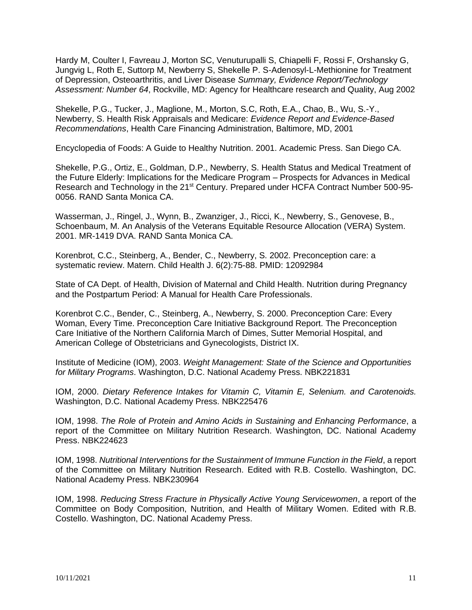Hardy M, Coulter I, Favreau J, Morton SC, Venuturupalli S, Chiapelli F, Rossi F, Orshansky G, Jungvig L, Roth E, Suttorp M, Newberry S, Shekelle P. S-Adenosyl-L-Methionine for Treatment of Depression, Osteoarthritis, and Liver Disease *Summary, Evidence Report/Technology Assessment: Number 64*, Rockville, MD: Agency for Healthcare research and Quality, Aug 2002

Shekelle, P.G., Tucker, J., Maglione, M., Morton, S.C, Roth, E.A., Chao, B., Wu, S.-Y., Newberry, S. Health Risk Appraisals and Medicare: *Evidence Report and Evidence-Based Recommendations*, Health Care Financing Administration, Baltimore, MD, 2001

Encyclopedia of Foods: A Guide to Healthy Nutrition. 2001. Academic Press. San Diego CA.

Shekelle, P.G., Ortiz, E., Goldman, D.P., Newberry, S. Health Status and Medical Treatment of the Future Elderly: Implications for the Medicare Program – Prospects for Advances in Medical Research and Technology in the 21<sup>st</sup> Century. Prepared under HCFA Contract Number 500-95-0056. RAND Santa Monica CA.

Wasserman, J., Ringel, J., Wynn, B., Zwanziger, J., Ricci, K., Newberry, S., Genovese, B., Schoenbaum, M. An Analysis of the Veterans Equitable Resource Allocation (VERA) System. 2001. MR-1419 DVA. RAND Santa Monica CA.

Korenbrot, C.C., Steinberg, A., Bender, C., Newberry, S. 2002. Preconception care: a systematic review. Matern. Child Health J. 6(2):75-88. PMID: 12092984

State of CA Dept. of Health, Division of Maternal and Child Health. Nutrition during Pregnancy and the Postpartum Period: A Manual for Health Care Professionals.

Korenbrot C.C., Bender, C., Steinberg, A., Newberry, S. 2000. Preconception Care: Every Woman, Every Time. Preconception Care Initiative Background Report. The Preconception Care Initiative of the Northern California March of Dimes, Sutter Memorial Hospital, and American College of Obstetricians and Gynecologists, District IX.

Institute of Medicine (IOM), 2003. *Weight Management: State of the Science and Opportunities for Military Programs*. Washington, D.C. National Academy Press. NBK221831

IOM, 2000. *Dietary Reference Intakes for Vitamin C, Vitamin E, Selenium. and Carotenoids.* Washington, D.C. National Academy Press. NBK225476

IOM, 1998. *The Role of Protein and Amino Acids in Sustaining and Enhancing Performance*, a report of the Committee on Military Nutrition Research. Washington, DC. National Academy Press. NBK224623

IOM, 1998. *Nutritional Interventions for the Sustainment of Immune Function in the Field*, a report of the Committee on Military Nutrition Research. Edited with R.B. Costello. Washington, DC. National Academy Press. NBK230964

IOM, 1998. *Reducing Stress Fracture in Physically Active Young Servicewomen*, a report of the Committee on Body Composition, Nutrition, and Health of Military Women. Edited with R.B. Costello. Washington, DC. National Academy Press.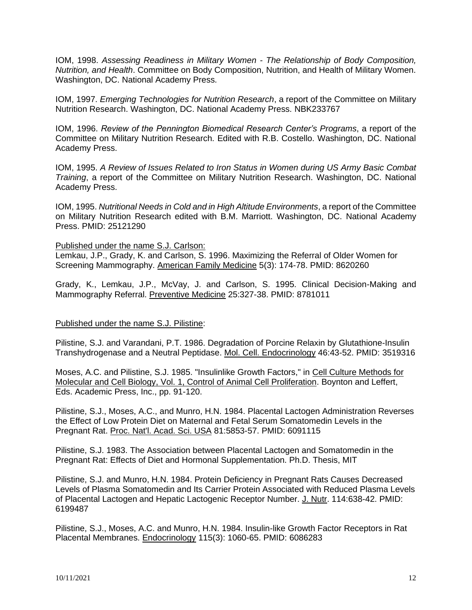IOM, 1998. *Assessing Readiness in Military Women - The Relationship of Body Composition, Nutrition, and Health*. Committee on Body Composition, Nutrition, and Health of Military Women. Washington, DC. National Academy Press.

IOM, 1997. *Emerging Technologies for Nutrition Research*, a report of the Committee on Military Nutrition Research. Washington, DC. National Academy Press. NBK233767

IOM, 1996. *Review of the Pennington Biomedical Research Center's Programs*, a report of the Committee on Military Nutrition Research. Edited with R.B. Costello. Washington, DC. National Academy Press.

IOM, 1995. *A Review of Issues Related to Iron Status in Women during US Army Basic Combat Training*, a report of the Committee on Military Nutrition Research. Washington, DC. National Academy Press.

IOM, 1995. *Nutritional Needs in Cold and in High Altitude Environments*, a report of the Committee on Military Nutrition Research edited with B.M. Marriott. Washington, DC. National Academy Press. PMID: 25121290

#### Published under the name S.J. Carlson:

Lemkau, J.P., Grady, K. and Carlson, S. 1996. Maximizing the Referral of Older Women for Screening Mammography. American Family Medicine 5(3): 174-78. PMID: 8620260

Grady, K., Lemkau, J.P., McVay, J. and Carlson, S. 1995. Clinical Decision-Making and Mammography Referral. Preventive Medicine 25:327-38. PMID: 8781011

#### Published under the name S.J. Pilistine:

Pilistine, S.J. and Varandani, P.T. 1986. Degradation of Porcine Relaxin by Glutathione-Insulin Transhydrogenase and a Neutral Peptidase. Mol. Cell. Endocrinology 46:43-52. PMID: 3519316

Moses, A.C. and Pilistine, S.J. 1985. "Insulinlike Growth Factors," in Cell Culture Methods for Molecular and Cell Biology, Vol. 1, Control of Animal Cell Proliferation. Boynton and Leffert, Eds. Academic Press, Inc., pp. 91-120.

Pilistine, S.J., Moses, A.C., and Munro, H.N. 1984. Placental Lactogen Administration Reverses the Effect of Low Protein Diet on Maternal and Fetal Serum Somatomedin Levels in the Pregnant Rat. Proc. Nat'l. Acad. Sci. USA 81:5853-57. PMID: 6091115

Pilistine, S.J. 1983. The Association between Placental Lactogen and Somatomedin in the Pregnant Rat: Effects of Diet and Hormonal Supplementation. Ph.D. Thesis, MIT

Pilistine, S.J. and Munro, H.N. 1984. Protein Deficiency in Pregnant Rats Causes Decreased Levels of Plasma Somatomedin and Its Carrier Protein Associated with Reduced Plasma Levels of Placental Lactogen and Hepatic Lactogenic Receptor Number. J. Nutr. 114:638-42. PMID: 6199487

Pilistine, S.J., Moses, A.C. and Munro, H.N. 1984. Insulin-like Growth Factor Receptors in Rat Placental Membranes. Endocrinology 115(3): 1060-65. PMID: 6086283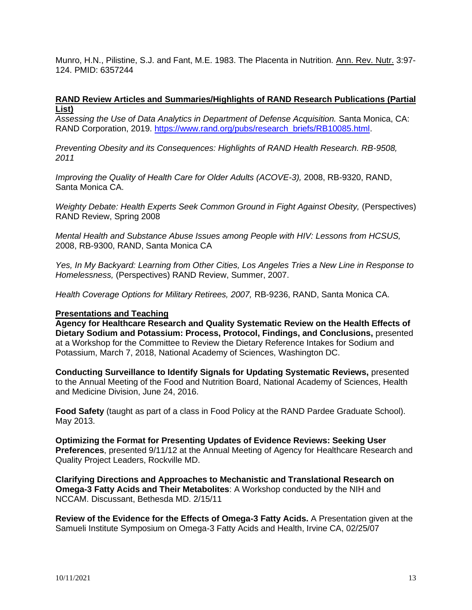Munro, H.N., Pilistine, S.J. and Fant, M.E. 1983. The Placenta in Nutrition. Ann. Rev. Nutr. 3:97- 124. PMID: 6357244

## **RAND Review Articles and Summaries/Highlights of RAND Research Publications (Partial List)**

*Assessing the Use of Data Analytics in Department of Defense Acquisition.* Santa Monica, CA: RAND Corporation, 2019. [https://www.rand.org/pubs/research\\_briefs/RB10085.html.](https://www.rand.org/pubs/research_briefs/RB10085.html)

*Preventing Obesity and its Consequences: Highlights of RAND Health Research. RB-9508, 2011*

*Improving the Quality of Health Care for Older Adults (ACOVE-3), 2008, RB-9320, RAND,* Santa Monica CA.

*Weighty Debate: Health Experts Seek Common Ground in Fight Against Obesity, (Perspectives)* RAND Review, Spring 2008

*Mental Health and Substance Abuse Issues among People with HIV: Lessons from HCSUS,*  2008, RB-9300, RAND, Santa Monica CA

*Yes, In My Backyard: Learning from Other Cities, Los Angeles Tries a New Line in Response to Homelessness,* (Perspectives) RAND Review, Summer, 2007.

*Health Coverage Options for Military Retirees, 2007, RB-9236, RAND, Santa Monica CA.* 

#### **Presentations and Teaching**

**Agency for Healthcare Research and Quality Systematic Review on the Health Effects of Dietary Sodium and Potassium: Process, Protocol, Findings, and Conclusions,** presented at a Workshop for the Committee to Review the Dietary Reference Intakes for Sodium and Potassium, March 7, 2018, National Academy of Sciences, Washington DC.

**Conducting Surveillance to Identify Signals for Updating Systematic Reviews,** presented to the Annual Meeting of the Food and Nutrition Board, National Academy of Sciences, Health and Medicine Division, June 24, 2016.

**Food Safety** (taught as part of a class in Food Policy at the RAND Pardee Graduate School). May 2013.

**Optimizing the Format for Presenting Updates of Evidence Reviews: Seeking User Preferences**, presented 9/11/12 at the Annual Meeting of Agency for Healthcare Research and Quality Project Leaders, Rockville MD.

**Clarifying Directions and Approaches to Mechanistic and Translational Research on Omega-3 Fatty Acids and Their Metabolites**: A Workshop conducted by the NIH and NCCAM. Discussant, Bethesda MD. 2/15/11

**Review of the Evidence for the Effects of Omega-3 Fatty Acids.** A Presentation given at the Samueli Institute Symposium on Omega-3 Fatty Acids and Health, Irvine CA, 02/25/07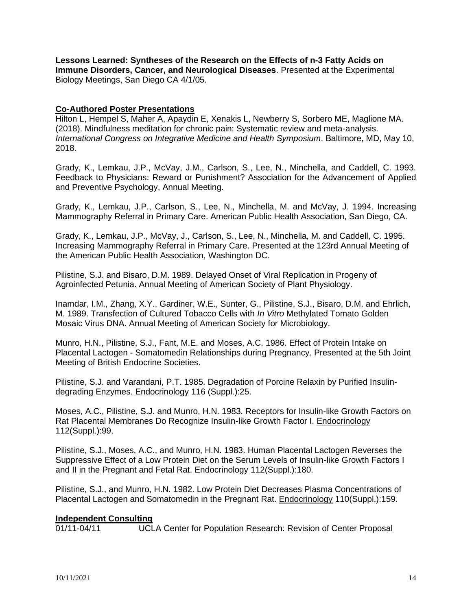**Lessons Learned: Syntheses of the Research on the Effects of n-3 Fatty Acids on Immune Disorders, Cancer, and Neurological Diseases**. Presented at the Experimental Biology Meetings, San Diego CA 4/1/05.

### **Co-Authored Poster Presentations**

Hilton L, Hempel S, Maher A, Apaydin E, Xenakis L, Newberry S, Sorbero ME, Maglione MA. (2018). Mindfulness meditation for chronic pain: Systematic review and meta-analysis. *International Congress on Integrative Medicine and Health Symposium*. Baltimore, MD, May 10, 2018.

Grady, K., Lemkau, J.P., McVay, J.M., Carlson, S., Lee, N., Minchella, and Caddell, C. 1993. Feedback to Physicians: Reward or Punishment? Association for the Advancement of Applied and Preventive Psychology, Annual Meeting.

Grady, K., Lemkau, J.P., Carlson, S., Lee, N., Minchella, M. and McVay, J. 1994. Increasing Mammography Referral in Primary Care. American Public Health Association, San Diego, CA.

Grady, K., Lemkau, J.P., McVay, J., Carlson, S., Lee, N., Minchella, M. and Caddell, C. 1995. Increasing Mammography Referral in Primary Care. Presented at the 123rd Annual Meeting of the American Public Health Association, Washington DC.

Pilistine, S.J. and Bisaro, D.M. 1989. Delayed Onset of Viral Replication in Progeny of Agroinfected Petunia. Annual Meeting of American Society of Plant Physiology.

Inamdar, I.M., Zhang, X.Y., Gardiner, W.E., Sunter, G., Pilistine, S.J., Bisaro, D.M. and Ehrlich, M. 1989. Transfection of Cultured Tobacco Cells with *In Vitro* Methylated Tomato Golden Mosaic Virus DNA. Annual Meeting of American Society for Microbiology.

Munro, H.N., Pilistine, S.J., Fant, M.E. and Moses, A.C. 1986. Effect of Protein Intake on Placental Lactogen - Somatomedin Relationships during Pregnancy. Presented at the 5th Joint Meeting of British Endocrine Societies.

Pilistine, S.J. and Varandani, P.T. 1985. Degradation of Porcine Relaxin by Purified Insulindegrading Enzymes. Endocrinology 116 (Suppl.):25.

Moses, A.C., Pilistine, S.J. and Munro, H.N. 1983. Receptors for Insulin-like Growth Factors on Rat Placental Membranes Do Recognize Insulin-like Growth Factor I. Endocrinology 112(Suppl.):99.

Pilistine, S.J., Moses, A.C., and Munro, H.N. 1983. Human Placental Lactogen Reverses the Suppressive Effect of a Low Protein Diet on the Serum Levels of Insulin-like Growth Factors I and II in the Pregnant and Fetal Rat. Endocrinology 112(Suppl.):180.

Pilistine, S.J., and Munro, H.N. 1982. Low Protein Diet Decreases Plasma Concentrations of Placental Lactogen and Somatomedin in the Pregnant Rat. Endocrinology 110(Suppl.):159.

#### **Independent Consulting**

01/11-04/11 UCLA Center for Population Research: Revision of Center Proposal